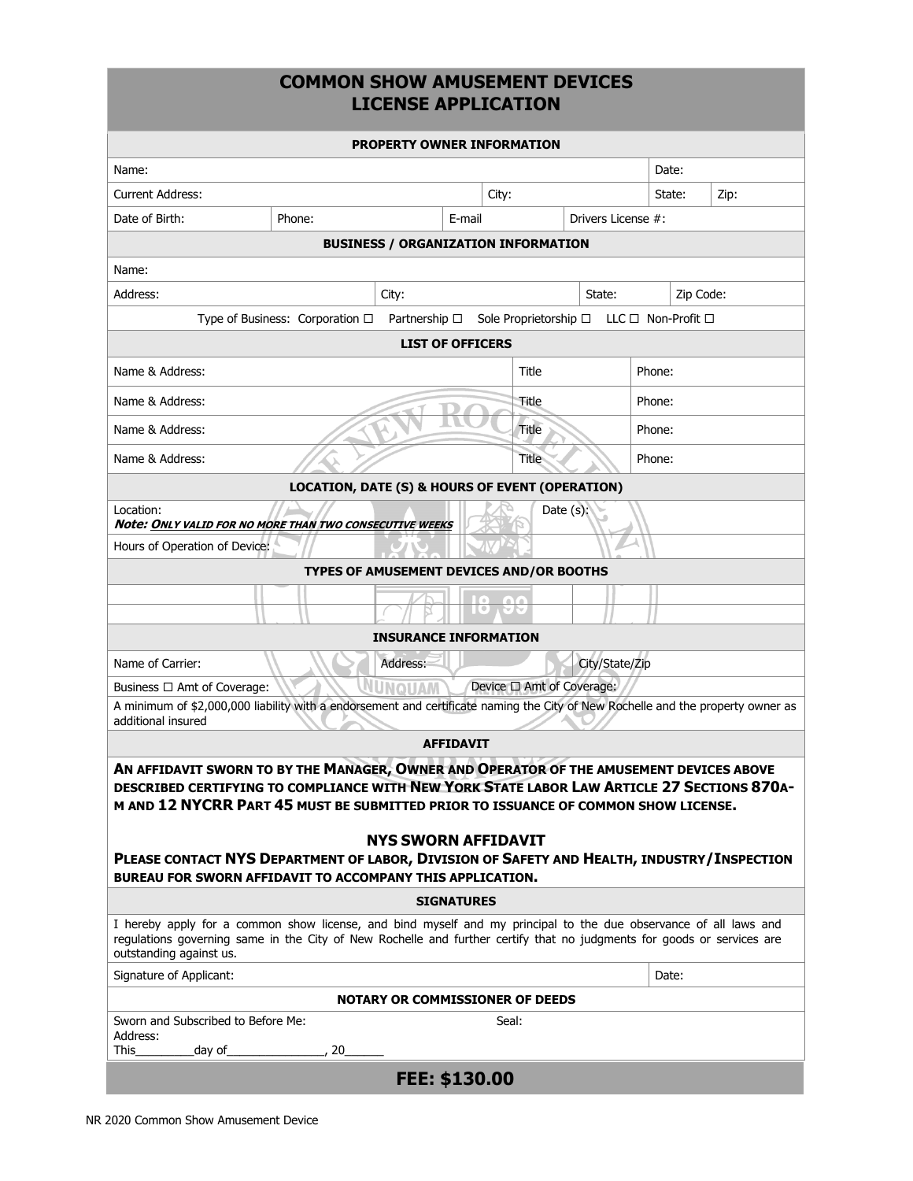# **COMMON SHOW AMUSEMENT DEVICES LICENSE APPLICATION**

| <b>PROPERTY OWNER INFORMATION</b>                                                                                                                                                                                                                                                                                                                                                                                                                                           |                                                                                                                 |          |                                            |              |                    |           |      |
|-----------------------------------------------------------------------------------------------------------------------------------------------------------------------------------------------------------------------------------------------------------------------------------------------------------------------------------------------------------------------------------------------------------------------------------------------------------------------------|-----------------------------------------------------------------------------------------------------------------|----------|--------------------------------------------|--------------|--------------------|-----------|------|
| Name:                                                                                                                                                                                                                                                                                                                                                                                                                                                                       |                                                                                                                 |          |                                            |              |                    | Date:     |      |
| <b>Current Address:</b>                                                                                                                                                                                                                                                                                                                                                                                                                                                     |                                                                                                                 |          | City:                                      |              |                    | State:    | Zip: |
| Date of Birth:                                                                                                                                                                                                                                                                                                                                                                                                                                                              | Phone:                                                                                                          |          | E-mail                                     |              | Drivers License #: |           |      |
|                                                                                                                                                                                                                                                                                                                                                                                                                                                                             |                                                                                                                 |          | <b>BUSINESS / ORGANIZATION INFORMATION</b> |              |                    |           |      |
| Name:                                                                                                                                                                                                                                                                                                                                                                                                                                                                       |                                                                                                                 |          |                                            |              |                    |           |      |
| Address:                                                                                                                                                                                                                                                                                                                                                                                                                                                                    |                                                                                                                 | City:    |                                            |              | State:             | Zip Code: |      |
|                                                                                                                                                                                                                                                                                                                                                                                                                                                                             | Type of Business: Corporation $\Box$ Partnership $\Box$ Sole Proprietorship $\Box$ LLC $\Box$ Non-Profit $\Box$ |          |                                            |              |                    |           |      |
|                                                                                                                                                                                                                                                                                                                                                                                                                                                                             |                                                                                                                 |          | <b>LIST OF OFFICERS</b>                    |              |                    |           |      |
| Name & Address:                                                                                                                                                                                                                                                                                                                                                                                                                                                             |                                                                                                                 |          |                                            | Title        |                    | Phone:    |      |
| Name & Address:                                                                                                                                                                                                                                                                                                                                                                                                                                                             |                                                                                                                 |          |                                            | Title        |                    | Phone:    |      |
| Name & Address:                                                                                                                                                                                                                                                                                                                                                                                                                                                             |                                                                                                                 |          |                                            | Title        |                    | Phone:    |      |
| Name & Address:                                                                                                                                                                                                                                                                                                                                                                                                                                                             |                                                                                                                 |          |                                            | <b>Title</b> |                    | Phone:    |      |
|                                                                                                                                                                                                                                                                                                                                                                                                                                                                             | <b>LOCATION, DATE (S) &amp; HOURS OF EVENT (OPERATION)</b>                                                      |          |                                            |              |                    |           |      |
| Date $(s)$ :<br>Location:<br><b>Note: ONLY VALID FOR NO MORE THAN TWO CONSECUTIVE WEEKS</b>                                                                                                                                                                                                                                                                                                                                                                                 |                                                                                                                 |          |                                            |              |                    |           |      |
| Hours of Operation of Device:                                                                                                                                                                                                                                                                                                                                                                                                                                               |                                                                                                                 |          |                                            |              |                    |           |      |
|                                                                                                                                                                                                                                                                                                                                                                                                                                                                             | TYPES OF AMUSEMENT DEVICES AND/OR BOOTHS                                                                        |          |                                            |              |                    |           |      |
|                                                                                                                                                                                                                                                                                                                                                                                                                                                                             |                                                                                                                 |          | HO)                                        | ビバ           |                    |           |      |
|                                                                                                                                                                                                                                                                                                                                                                                                                                                                             |                                                                                                                 |          | <b>INSURANCE INFORMATION</b>               |              |                    |           |      |
| Name of Carrier:                                                                                                                                                                                                                                                                                                                                                                                                                                                            |                                                                                                                 | Address: |                                            |              |                    |           |      |
| City/State/Zip<br><b>NUNQUAM</b><br>Device □ Amt of Coverage:<br>Business □ Amt of Coverage:                                                                                                                                                                                                                                                                                                                                                                                |                                                                                                                 |          |                                            |              |                    |           |      |
| A minimum of \$2,000,000 liability with a endorsement and certificate naming the City of New Rochelle and the property owner as<br>additional insured                                                                                                                                                                                                                                                                                                                       |                                                                                                                 |          |                                            |              |                    |           |      |
| <b>AFFIDAVIT</b>                                                                                                                                                                                                                                                                                                                                                                                                                                                            |                                                                                                                 |          |                                            |              |                    |           |      |
| AN AFFIDAVIT SWORN TO BY THE MANAGER, OWNER AND OPERATOR OF THE AMUSEMENT DEVICES ABOVE<br>DESCRIBED CERTIFYING TO COMPLIANCE WITH NEW YORK STATE LABOR LAW ARTICLE 27 SECTIONS 870A-<br>M AND 12 NYCRR PART 45 MUST BE SUBMITTED PRIOR TO ISSUANCE OF COMMON SHOW LICENSE.<br><b>NYS SWORN AFFIDAVIT</b><br>PLEASE CONTACT NYS DEPARTMENT OF LABOR, DIVISION OF SAFETY AND HEALTH, INDUSTRY/INSPECTION<br><b>BUREAU FOR SWORN AFFIDAVIT TO ACCOMPANY THIS APPLICATION.</b> |                                                                                                                 |          |                                            |              |                    |           |      |
| <b>SIGNATURES</b>                                                                                                                                                                                                                                                                                                                                                                                                                                                           |                                                                                                                 |          |                                            |              |                    |           |      |
| I hereby apply for a common show license, and bind myself and my principal to the due observance of all laws and<br>regulations governing same in the City of New Rochelle and further certify that no judgments for goods or services are<br>outstanding against us.                                                                                                                                                                                                       |                                                                                                                 |          |                                            |              |                    |           |      |
| Signature of Applicant:                                                                                                                                                                                                                                                                                                                                                                                                                                                     |                                                                                                                 |          |                                            |              |                    | Date:     |      |
| <b>NOTARY OR COMMISSIONER OF DEEDS</b>                                                                                                                                                                                                                                                                                                                                                                                                                                      |                                                                                                                 |          |                                            |              |                    |           |      |
| Sworn and Subscribed to Before Me:<br>Address:                                                                                                                                                                                                                                                                                                                                                                                                                              |                                                                                                                 |          |                                            | Seal:        |                    |           |      |
| This<br>day of_                                                                                                                                                                                                                                                                                                                                                                                                                                                             | $\sim$ , 20                                                                                                     |          |                                            |              |                    |           |      |
|                                                                                                                                                                                                                                                                                                                                                                                                                                                                             |                                                                                                                 |          | FEE: \$130.00                              |              |                    |           |      |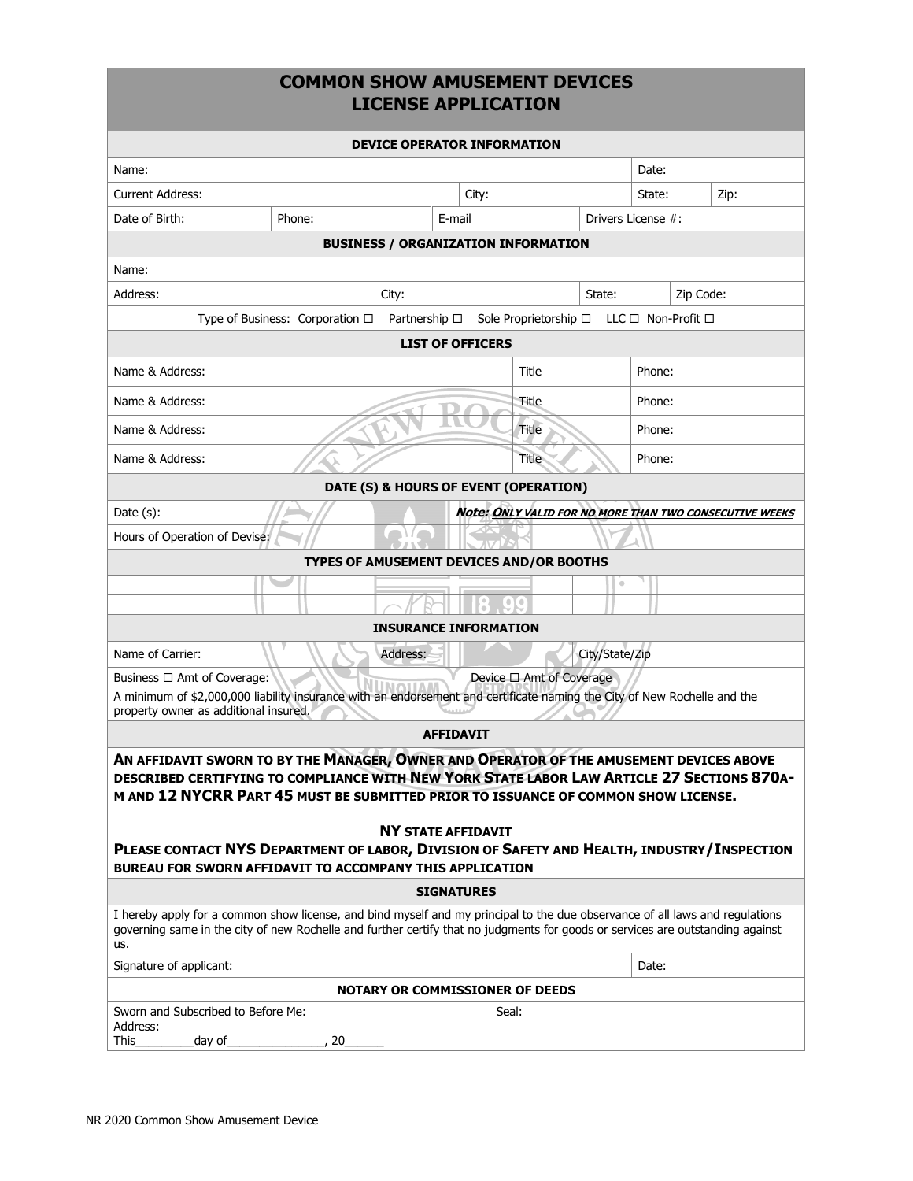## **COMMON SHOW AMUSEMENT DEVICES LICENSE APPLICATION**

| <b>DEVICE OPERATOR INFORMATION</b>                                                                                                                                                                                                                                                                                                                                                                                                                                        |                                                         |       |                                            |                                          |                    |        |           |                                                         |
|---------------------------------------------------------------------------------------------------------------------------------------------------------------------------------------------------------------------------------------------------------------------------------------------------------------------------------------------------------------------------------------------------------------------------------------------------------------------------|---------------------------------------------------------|-------|--------------------------------------------|------------------------------------------|--------------------|--------|-----------|---------------------------------------------------------|
| Name:                                                                                                                                                                                                                                                                                                                                                                                                                                                                     |                                                         |       |                                            |                                          |                    | Date:  |           |                                                         |
| Current Address:                                                                                                                                                                                                                                                                                                                                                                                                                                                          |                                                         |       | City:                                      |                                          |                    | State: |           | Zip:                                                    |
| Date of Birth:                                                                                                                                                                                                                                                                                                                                                                                                                                                            | Phone:                                                  |       | E-mail                                     |                                          | Drivers License #: |        |           |                                                         |
|                                                                                                                                                                                                                                                                                                                                                                                                                                                                           |                                                         |       | <b>BUSINESS / ORGANIZATION INFORMATION</b> |                                          |                    |        |           |                                                         |
| Name:                                                                                                                                                                                                                                                                                                                                                                                                                                                                     |                                                         |       |                                            |                                          |                    |        |           |                                                         |
| Address:                                                                                                                                                                                                                                                                                                                                                                                                                                                                  |                                                         | City: |                                            |                                          | State:             |        | Zip Code: |                                                         |
|                                                                                                                                                                                                                                                                                                                                                                                                                                                                           | Type of Business: Corporation $\Box$ Partnership $\Box$ |       |                                            | Sole Proprietorship □ LLC □ Non-Profit □ |                    |        |           |                                                         |
|                                                                                                                                                                                                                                                                                                                                                                                                                                                                           |                                                         |       | <b>LIST OF OFFICERS</b>                    |                                          |                    |        |           |                                                         |
| Name & Address:                                                                                                                                                                                                                                                                                                                                                                                                                                                           |                                                         |       |                                            | Title                                    |                    | Phone: |           |                                                         |
| Name & Address:                                                                                                                                                                                                                                                                                                                                                                                                                                                           |                                                         |       |                                            | Title                                    |                    | Phone: |           |                                                         |
| Name & Address:                                                                                                                                                                                                                                                                                                                                                                                                                                                           |                                                         |       |                                            | Title                                    |                    | Phone: |           |                                                         |
| Name & Address:                                                                                                                                                                                                                                                                                                                                                                                                                                                           |                                                         |       |                                            | Title                                    |                    | Phone: |           |                                                         |
|                                                                                                                                                                                                                                                                                                                                                                                                                                                                           |                                                         |       | DATE (S) & HOURS OF EVENT (OPERATION)      |                                          |                    |        |           |                                                         |
| Date $(s)$ :                                                                                                                                                                                                                                                                                                                                                                                                                                                              |                                                         |       |                                            |                                          |                    |        |           | Note: ONLY VALID FOR NO MORE THAN TWO CONSECUTIVE WEEKS |
| Hours of Operation of Devise:                                                                                                                                                                                                                                                                                                                                                                                                                                             |                                                         |       |                                            |                                          |                    |        |           |                                                         |
| TYPES OF AMUSEMENT DEVICES AND/OR BOOTHS                                                                                                                                                                                                                                                                                                                                                                                                                                  |                                                         |       |                                            |                                          |                    |        |           |                                                         |
|                                                                                                                                                                                                                                                                                                                                                                                                                                                                           |                                                         |       |                                            |                                          | $\circ$            |        |           |                                                         |
|                                                                                                                                                                                                                                                                                                                                                                                                                                                                           |                                                         |       |                                            | $\bullet$                                |                    |        |           |                                                         |
| <b>INSURANCE INFORMATION</b>                                                                                                                                                                                                                                                                                                                                                                                                                                              |                                                         |       |                                            |                                          |                    |        |           |                                                         |
| City/State/Zip<br>Name of Carrier:<br>Address:                                                                                                                                                                                                                                                                                                                                                                                                                            |                                                         |       |                                            |                                          |                    |        |           |                                                         |
| Device □ Amt of Coverage<br>Business □ Amt of Coverage:                                                                                                                                                                                                                                                                                                                                                                                                                   |                                                         |       |                                            |                                          |                    |        |           |                                                         |
| A minimum of \$2,000,000 liability insurance with an endorsement and certificate naming the City of New Rochelle and the<br>property owner as additional insured.                                                                                                                                                                                                                                                                                                         |                                                         |       |                                            |                                          |                    |        |           |                                                         |
| <b>AFFIDAVIT</b>                                                                                                                                                                                                                                                                                                                                                                                                                                                          |                                                         |       |                                            |                                          |                    |        |           |                                                         |
| AN AFFIDAVIT SWORN TO BY THE MANAGER, OWNER AND OPERATOR OF THE AMUSEMENT DEVICES ABOVE<br>DESCRIBED CERTIFYING TO COMPLIANCE WITH NEW YORK STATE LABOR LAW ARTICLE 27 SECTIONS 870A-<br>M AND 12 NYCRR PART 45 MUST BE SUBMITTED PRIOR TO ISSUANCE OF COMMON SHOW LICENSE.<br><b>NY STATE AFFIDAVIT</b><br>PLEASE CONTACT NYS DEPARTMENT OF LABOR, DIVISION OF SAFETY AND HEALTH, INDUSTRY/INSPECTION<br><b>BUREAU FOR SWORN AFFIDAVIT TO ACCOMPANY THIS APPLICATION</b> |                                                         |       |                                            |                                          |                    |        |           |                                                         |
| <b>SIGNATURES</b>                                                                                                                                                                                                                                                                                                                                                                                                                                                         |                                                         |       |                                            |                                          |                    |        |           |                                                         |
| I hereby apply for a common show license, and bind myself and my principal to the due observance of all laws and regulations<br>governing same in the city of new Rochelle and further certify that no judgments for goods or services are outstanding against<br>us.                                                                                                                                                                                                     |                                                         |       |                                            |                                          |                    |        |           |                                                         |
| Signature of applicant:                                                                                                                                                                                                                                                                                                                                                                                                                                                   |                                                         |       |                                            |                                          |                    | Date:  |           |                                                         |
| <b>NOTARY OR COMMISSIONER OF DEEDS</b>                                                                                                                                                                                                                                                                                                                                                                                                                                    |                                                         |       |                                            |                                          |                    |        |           |                                                         |
| Sworn and Subscribed to Before Me:<br>Address:<br>This<br>day of_                                                                                                                                                                                                                                                                                                                                                                                                         | , 20                                                    |       | Seal:                                      |                                          |                    |        |           |                                                         |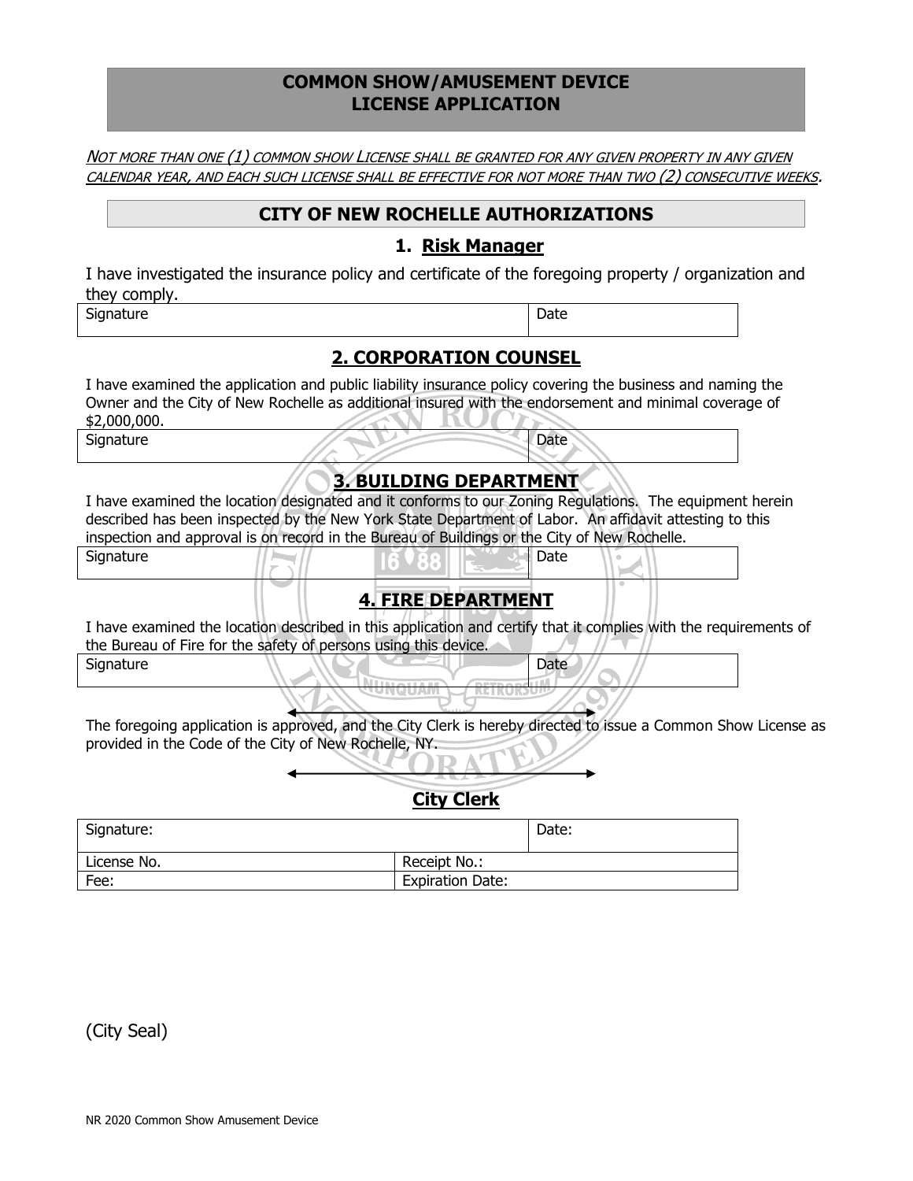#### **COMMON SHOW/AMUSEMENT DEVICE LICENSE APPLICATION**

NOT MORE THAN ONE (1) COMMON SHOW LICENSE SHALL BE GRANTED FOR ANY GIVEN PROPERTY IN ANY GIVEN CALENDAR YEAR, AND EACH SUCH LICENSE SHALL BE EFFECTIVE FOR NOT MORE THAN TWO (2) CONSECUTIVE WEEKS.

#### **CITY OF NEW ROCHELLE AUTHORIZATIONS**

#### **1. Risk Manager**

I have investigated the insurance policy and certificate of the foregoing property / organization and they comply.

| Signature | Date |
|-----------|------|
|-----------|------|

## **2. CORPORATION COUNSEL**

I have examined the application and public liability insurance policy covering the business and naming the Owner and the City of New Rochelle as additional insured with the endorsement and minimal coverage of \$2,000,000.

Signature Date

# **3. BUILDING DEPARTMENT**

I have examined the location designated and it conforms to our Zoning Regulations. The equipment herein described has been inspected by the New York State Department of Labor. An affidavit attesting to this inspection and approval is on record in the Bureau of Buildings or the City of New Rochelle.

| Signature |  |  |  | Date |  |
|-----------|--|--|--|------|--|
|           |  |  |  |      |  |

## **4. FIRE DEPARTMENT**

I have examined the location described in this application and certify that it complies with the requirements of the Bureau of Fire for the safety of persons using this device.

| Signature | Date |
|-----------|------|
|           |      |

The foregoing application is approved, and the City Clerk is hereby directed to issue a Common Show License as provided in the Code of the City of New Rochelle, NY.

# **City Clerk**

| Signature:  |                         | Date: |
|-------------|-------------------------|-------|
| License No. | Receipt No.:            |       |
| Fee:        | <b>Expiration Date:</b> |       |

(City Seal)